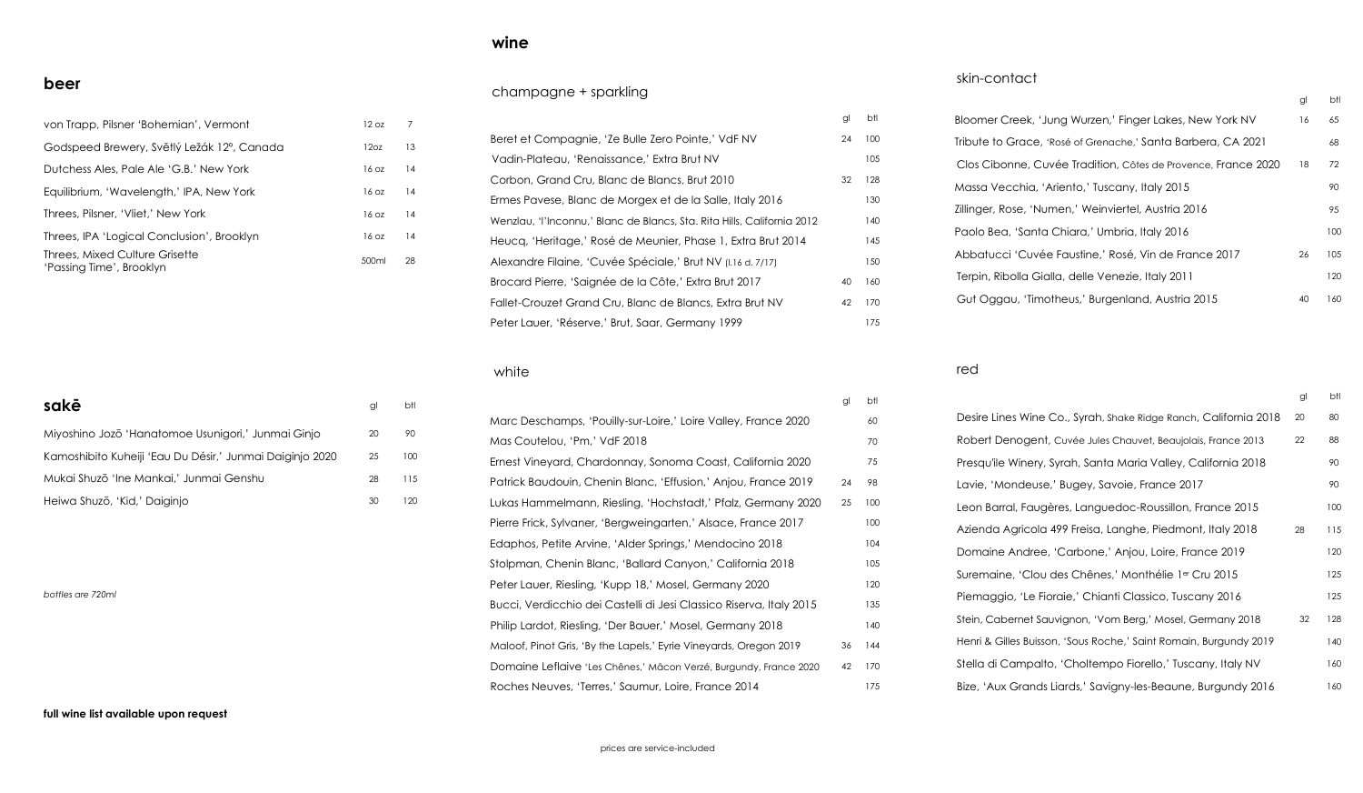#### **beer**

| von Trapp, Pilsner 'Bohemian', Vermont                     | 12 oz            | 7  |
|------------------------------------------------------------|------------------|----|
| Godspeed Brewery, Světlý Ležák 12°, Canada                 | 120z             | 13 |
| Dutchess Ales, Pale Ale 'G.B.' New York                    | 16 <sub>oz</sub> | 14 |
| Equilibrium, 'Wavelength,' IPA, New York                   | 16 <sub>oz</sub> | 14 |
| Threes, Pilsner, 'Vliet,' New York                         | 16 <sub>oz</sub> | 14 |
| Threes, IPA 'Logical Conclusion', Brooklyn                 | 16 oz            | 14 |
| Threes, Mixed Culture Grisette<br>'Passing Time', Brooklyn | 500ml            | 28 |

| sakē                                                     | gl | btl |
|----------------------------------------------------------|----|-----|
| Miyoshino Jozō 'Hanatomoe Usunigori,' Junmai Ginjo       | 20 | 90  |
| Kamoshibito Kuheiji 'Eau Du Désir,' Junmai Daiginio 2020 | 25 | 100 |
| Mukai Shuzō 'Ine Mankai,' Junmai Genshu                  | 28 | 115 |
| Heiwa Shuzō, 'Kid,' Daiginjo                             | 30 | 20  |

*bottles are 720ml*

#### **full wine list available upon request**

# **wine**

#### champagne + sparkling

|                                                                         | gl | btl |
|-------------------------------------------------------------------------|----|-----|
| Beret et Compagnie, 'Ze Bulle Zero Pointe,' VdF NV                      | 24 | 100 |
| Vadin-Plateau, 'Renaissance,' Extra Brut NV                             |    | 105 |
| Corbon, Grand Cru, Blanc de Blancs, Brut 2010                           | 32 | 128 |
| Ermes Pavese, Blanc de Morgex et de la Salle, Italy 2016                |    | 130 |
| Wenzlau, 'l'Inconnu,' Blanc de Blancs, Sta. Rita Hills, California 2012 |    | 140 |
| Heuca, 'Heritage,' Rosé de Meunier, Phase 1, Extra Brut 2014            |    | 145 |
| Alexandre Filaine, 'Cuvée Spéciale,' Brut NV (1.16 d. 7/17)             |    | 150 |
| Brocard Pierre, 'Saignée de la Côte,' Extra Brut 2017                   | 40 | 160 |
| Fallet-Crouzet Grand Cru, Blanc de Blancs, Extra Brut NV                | 42 | 170 |
| Peter Lauer, 'Réserve,' Brut, Saar, Germany 1999                        |    | 175 |

white

|                                                                     | gl | btl |
|---------------------------------------------------------------------|----|-----|
| Marc Deschamps, 'Pouilly-sur-Loire,' Loire Valley, France 2020      |    | 60  |
| Mas Coutelou, 'Pm,' VdF 2018                                        |    | 70  |
| Ernest Vineyard, Chardonnay, Sonoma Coast, California 2020          |    | 75  |
| Patrick Baudouin, Chenin Blanc, 'Effusion,' Anjou, France 2019      | 24 | 98  |
| Lukas Hammelmann, Riesling, 'Hochstadt,' Pfalz, Germany 2020        | 25 | 100 |
| Pierre Frick, Sylvaner, 'Bergweingarten,' Alsace, France 2017       |    | 100 |
| Edaphos, Petite Arvine, 'Alder Springs,' Mendocino 2018             |    | 104 |
| Stolpman, Chenin Blanc, 'Ballard Canyon,' California 2018           |    | 105 |
| Peter Lauer, Riesling, 'Kupp 18,' Mosel, Germany 2020               |    | 120 |
| Bucci, Verdicchio dei Castelli di Jesi Classico Riserva, Italy 2015 |    | 135 |
| Philip Lardot, Riesling, 'Der Bauer,' Mosel, Germany 2018           |    | 140 |
| Maloof, Pinot Gris, 'By the Lapels,' Eyrie Vineyards, Oregon 2019   | 36 | 144 |
| Domaine Leflaive 'Les Chênes,' Mâcon Verzé, Burgundy, France 2020   | 42 | 170 |
| Roches Neuves, 'Terres,' Saumur, Loire, France 2014                 |    | 175 |

### skin-contact

|                                                               | gl | btl |
|---------------------------------------------------------------|----|-----|
| Bloomer Creek, 'Jung Wurzen,' Finger Lakes, New York NV       | 16 | 65  |
| Tribute to Grace, 'Rosé of Grenache,' Santa Barbera, CA 2021  |    | 68  |
| Clos Cibonne, Cuvée Tradition, Côtes de Provence, France 2020 | 18 | 72  |
| Massa Vecchia, 'Ariento,' Tuscany, Italy 2015                 |    | 90  |
| Zillinger, Rose, 'Numen,' Weinviertel, Austria 2016           |    | 95  |
| Paolo Bea, 'Santa Chiara,' Umbria, Italy 2016                 |    | 100 |
| Abbatucci 'Cuvée Faustine,' Rosé, Vin de France 2017          | 26 | 105 |
| Terpin, Ribolla Gialla, delle Venezie, Italy 2011             |    | 120 |
| Gut Oggau, 'Timotheus,' Burgenland, Austria 2015              | 40 | 160 |

#### red

|                                                                   | gl | btl |
|-------------------------------------------------------------------|----|-----|
| Desire Lines Wine Co., Syrah, Shake Ridge Ranch, California 2018  | 20 | 80  |
| Robert Denogent, Cuvée Jules Chauvet, Beaujolais, France 2013     | 22 | 88  |
| Presqu'ile Winery, Syrah, Santa Maria Valley, California 2018     |    | 90  |
| Lavie, 'Mondeuse,' Bugey, Savoie, France 2017                     |    | 90  |
| Leon Barral, Faugères, Languedoc-Roussillon, France 2015          |    | 100 |
| Azienda Agricola 499 Freisa, Langhe, Piedmont, Italy 2018         | 28 | 115 |
| Domaine Andree, 'Carbone,' Anjou, Loire, France 2019              |    | 120 |
| Suremaine, 'Clou des Chênes,' Monthélie 1er Cru 2015              |    | 125 |
| Piemaggio, 'Le Fioraie,' Chianti Classico, Tuscany 2016           |    | 125 |
| Stein, Cabernet Sauvignon, 'Vom Berg,' Mosel, Germany 2018        | 32 | 128 |
| Henri & Gilles Buisson, 'Sous Roche,' Saint Romain, Burgundy 2019 |    | 140 |
| Stella di Campalto, 'Choltempo Fiorello,' Tuscany, Italy NV       |    | 160 |
| Bize, 'Aux Grands Liards,' Savigny-les-Beaune, Burgundy 2016      |    | 160 |